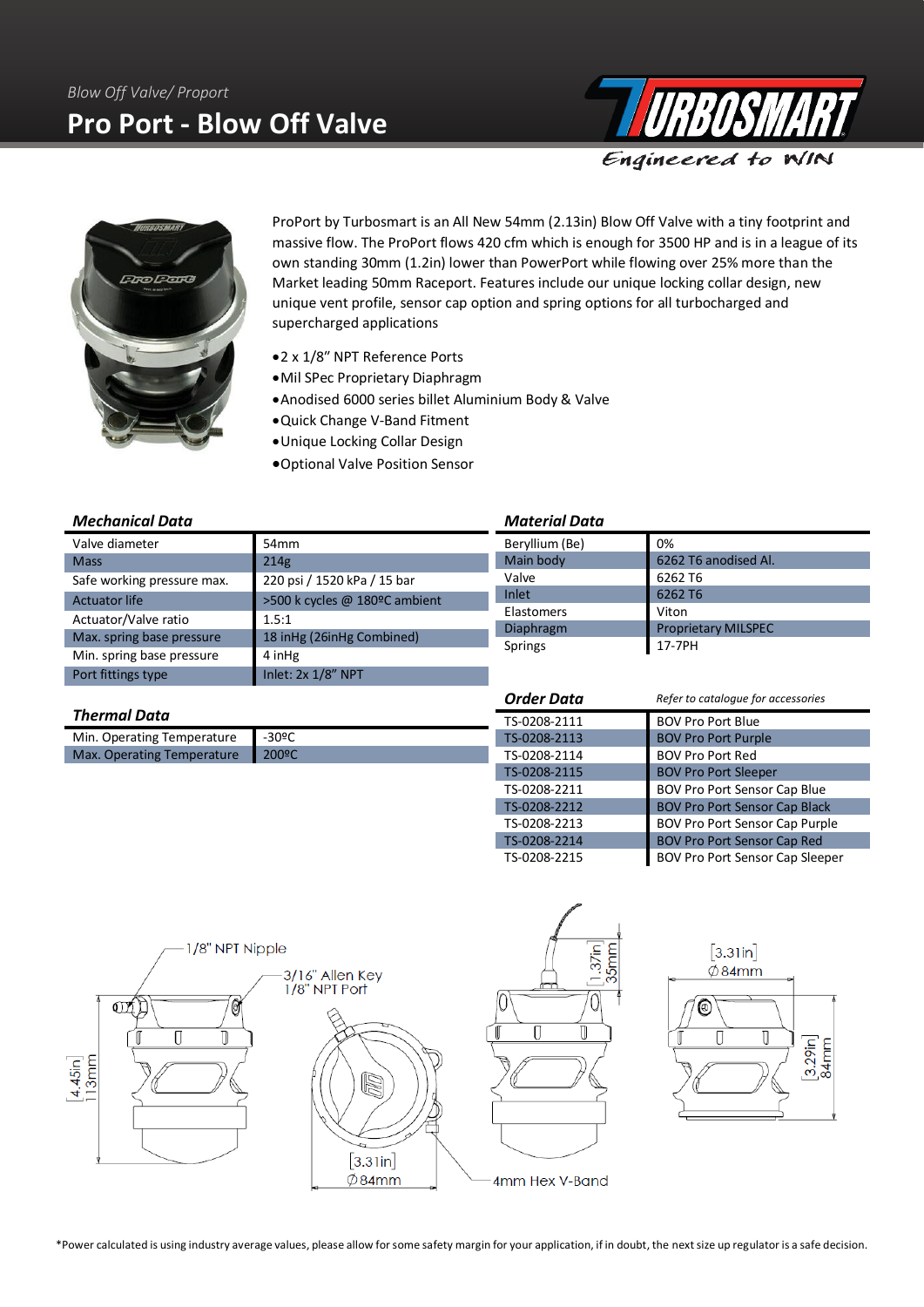



ProPort by Turbosmart is an All New 54mm (2.13in) Blow Off Valve with a tiny footprint and massive flow. The ProPort flows 420 cfm which is enough for 3500 HP and is in a league of its own standing 30mm (1.2in) lower than PowerPort while flowing over 25% more than the Market leading 50mm Raceport. Features include our unique locking collar design, new unique vent profile, sensor cap option and spring options for all turbocharged and supercharged applications

- •2 x 1/8″ NPT Reference Ports
- •Mil SPec Proprietary Diaphragm
- •Anodised 6000 series billet Aluminium Body & Valve
- •Quick Change V-Band Fitment
- •Unique Locking Collar Design
- •Optional Valve Position Sensor

### *Mechanical Data*

| Valve diameter             | 54 <sub>mm</sub>              |  |
|----------------------------|-------------------------------|--|
| <b>Mass</b>                | 214g                          |  |
| Safe working pressure max. | 220 psi / 1520 kPa / 15 bar   |  |
| <b>Actuator life</b>       | >500 k cycles @ 180ºC ambient |  |
| Actuator/Valve ratio       | 1.5:1                         |  |
| Max. spring base pressure  | 18 inHg (26inHg Combined)     |  |
| Min. spring base pressure  | 4 inHg                        |  |
| Port fittings type         | Inlet: 2x 1/8" NPT            |  |

#### *Material Data*

| .              |                            |  |  |
|----------------|----------------------------|--|--|
| Beryllium (Be) | 0%                         |  |  |
| Main body      | 6262 T6 anodised Al.       |  |  |
| Valve          | 6262 T6                    |  |  |
| Inlet          | 6262 T6                    |  |  |
| Elastomers     | Viton                      |  |  |
| Diaphragm      | <b>Proprietary MILSPEC</b> |  |  |
| Springs        | 17-7PH                     |  |  |

## *Thermal Data*

| Min. Operating Temperature       | $\blacksquare$ -30°C |
|----------------------------------|----------------------|
| Max. Operating Temperature 200ºC |                      |

| <b>Order Data</b> | Refer to catalogue for accessories     |  |
|-------------------|----------------------------------------|--|
| TS-0208-2111      | <b>BOV Pro Port Blue</b>               |  |
| TS-0208-2113      | <b>BOV Pro Port Purple</b>             |  |
| TS-0208-2114      | <b>BOV Pro Port Red</b>                |  |
| TS-0208-2115      | <b>BOV Pro Port Sleeper</b>            |  |
| TS-0208-2211      | <b>BOV Pro Port Sensor Cap Blue</b>    |  |
| TS-0208-2212      | <b>BOV Pro Port Sensor Cap Black</b>   |  |
| TS-0208-2213      | <b>BOV Pro Port Sensor Cap Purple</b>  |  |
| TS-0208-2214      | <b>BOV Pro Port Sensor Cap Red</b>     |  |
| TS-0208-2215      | <b>BOV Pro Port Sensor Cap Sleeper</b> |  |